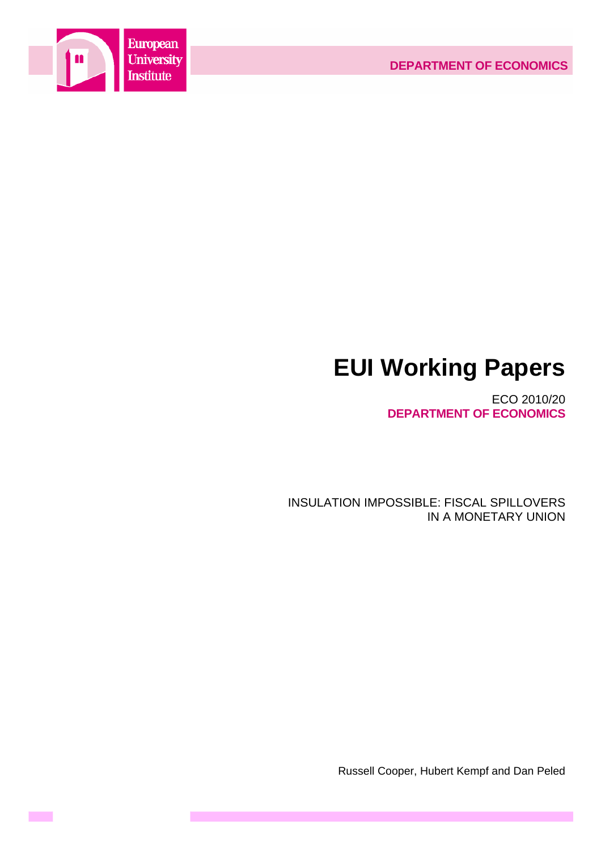



**Contract** 

# **EUI Working Papers**

ECO 2010/20 **DEPARTMENT OF ECONOMICS**

INSULATION IMPOSSIBLE: FISCAL SPILLOVERS IN A MONETARY UNION

Russell Cooper, Hubert Kempf and Dan Peled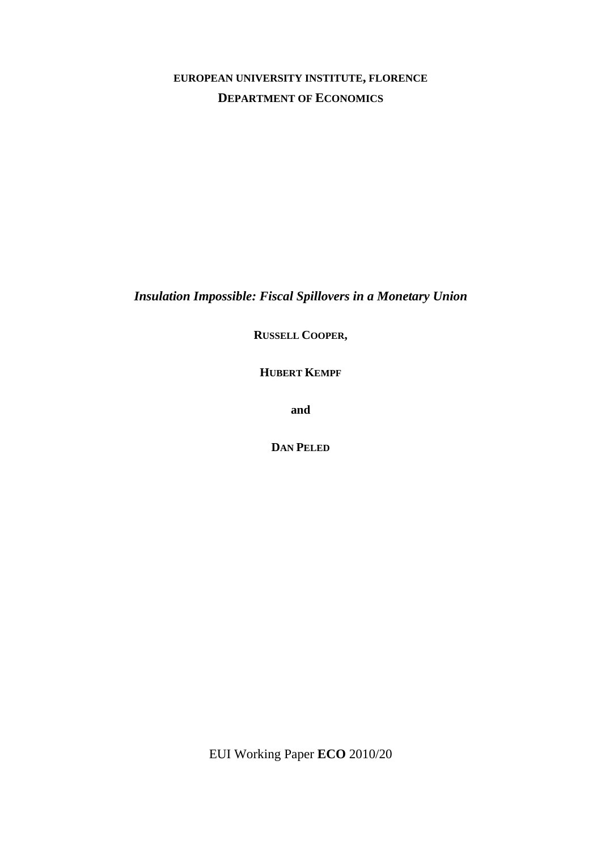# **EUROPEAN UNIVERSITY INSTITUTE, FLORENCE DEPARTMENT OF ECONOMICS**

*Insulation Impossible: Fiscal Spillovers in a Monetary Union* 

**RUSSELL COOPER,** 

**HUBERT KEMPF**

**and** 

**DAN PELED**

EUI Working Paper **ECO** 2010/20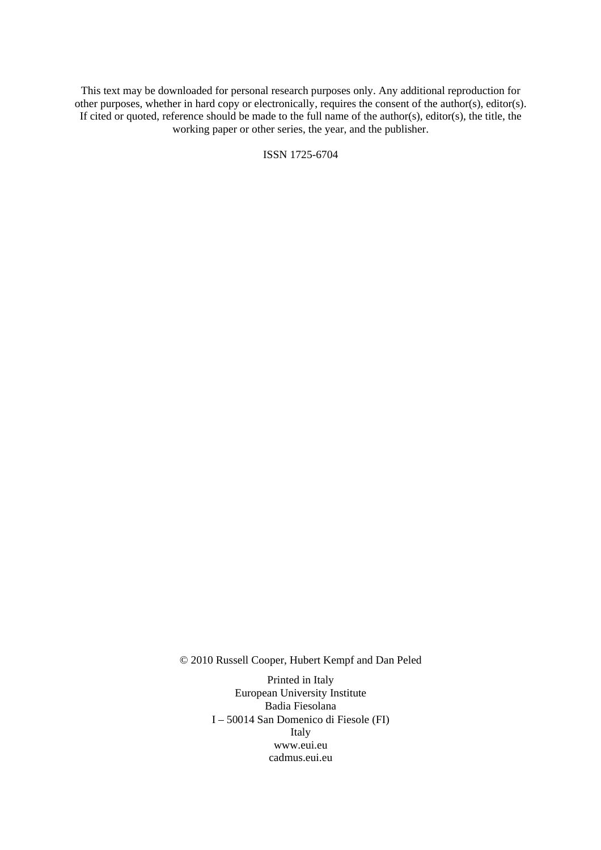This text may be downloaded for personal research purposes only. Any additional reproduction for other purposes, whether in hard copy or electronically, requires the consent of the author(s), editor(s). If cited or quoted, reference should be made to the full name of the author(s), editor(s), the title, the working paper or other series, the year, and the publisher.

ISSN 1725-6704

© 2010 Russell Cooper, Hubert Kempf and Dan Peled

Printed in Italy European University Institute Badia Fiesolana I – 50014 San Domenico di Fiesole (FI) Italy [www.eui.eu](http://www.eui.eu/)  [cadmus.eui.eu](http://www.eui.eu/)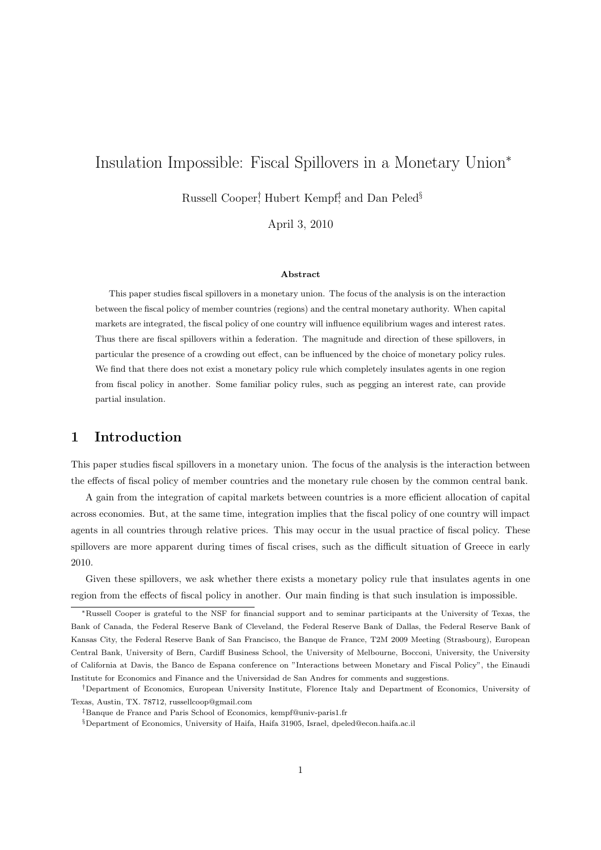# Insulation Impossible: Fiscal Spillovers in a Monetary Union<sup>∗</sup>

Russell Cooper<sup>†</sup> Hubert Kempf<sup>‡</sup> and Dan Peled<sup>§</sup>

April 3, 2010

#### **Abstract**

This paper studies fiscal spillovers in a monetary union. The focus of the analysis is on the interaction between the fiscal policy of member countries (regions) and the central monetary authority. When capital markets are integrated, the fiscal policy of one country will influence equilibrium wages and interest rates. Thus there are fiscal spillovers within a federation. The magnitude and direction of these spillovers, in particular the presence of a crowding out effect, can be influenced by the choice of monetary policy rules. We find that there does not exist a monetary policy rule which completely insulates agents in one region from fiscal policy in another. Some familiar policy rules, such as pegging an interest rate, can provide partial insulation.

# **1 Introduction**

This paper studies fiscal spillovers in a monetary union. The focus of the analysis is the interaction between the effects of fiscal policy of member countries and the monetary rule chosen by the common central bank.

A gain from the integration of capital markets between countries is a more efficient allocation of capital across economies. But, at the same time, integration implies that the fiscal policy of one country will impact agents in all countries through relative prices. This may occur in the usual practice of fiscal policy. These spillovers are more apparent during times of fiscal crises, such as the difficult situation of Greece in early 2010.

Given these spillovers, we ask whether there exists a monetary policy rule that insulates agents in one region from the effects of fiscal policy in another. Our main finding is that such insulation is impossible.

<sup>∗</sup>Russell Cooper is grateful to the NSF for financial support and to seminar participants at the University of Texas, the Bank of Canada, the Federal Reserve Bank of Cleveland, the Federal Reserve Bank of Dallas, the Federal Reserve Bank of Kansas City, the Federal Reserve Bank of San Francisco, the Banque de France, T2M 2009 Meeting (Strasbourg), European Central Bank, University of Bern, Cardiff Business School, the University of Melbourne, Bocconi, University, the University of California at Davis, the Banco de Espana conference on "Interactions between Monetary and Fiscal Policy", the Einaudi Institute for Economics and Finance and the Universidad de San Andres for comments and suggestions.

<sup>†</sup>Department of Economics, European University Institute, Florence Italy and Department of Economics, University of Texas, Austin, TX. 78712, russellcoop@gmail.com

<sup>‡</sup>Banque de France and Paris School of Economics, kempf@univ-paris1.fr

<sup>§</sup>Department of Economics, University of Haifa, Haifa 31905, Israel, dpeled@econ.haifa.ac.il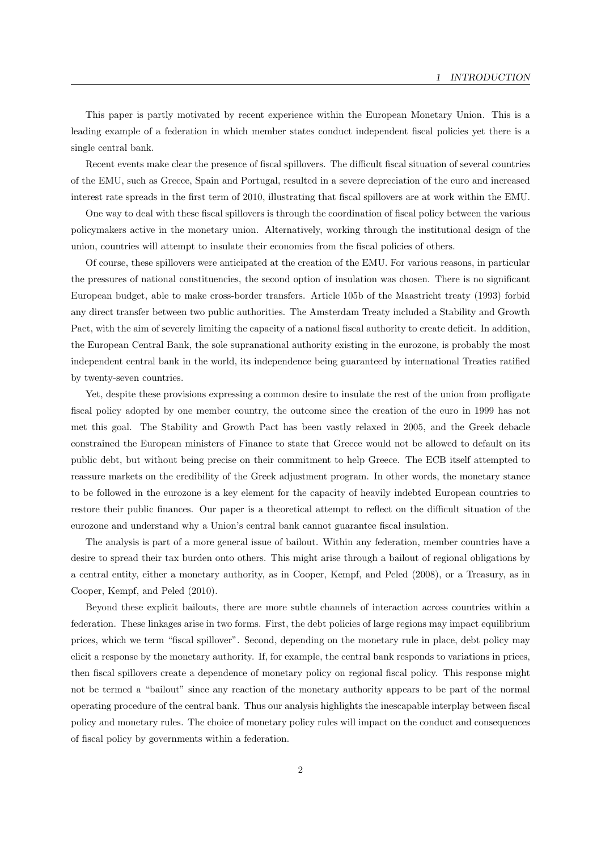This paper is partly motivated by recent experience within the European Monetary Union. This is a leading example of a federation in which member states conduct independent fiscal policies yet there is a single central bank.

Recent events make clear the presence of fiscal spillovers. The difficult fiscal situation of several countries of the EMU, such as Greece, Spain and Portugal, resulted in a severe depreciation of the euro and increased interest rate spreads in the first term of 2010, illustrating that fiscal spillovers are at work within the EMU.

One way to deal with these fiscal spillovers is through the coordination of fiscal policy between the various policymakers active in the monetary union. Alternatively, working through the institutional design of the union, countries will attempt to insulate their economies from the fiscal policies of others.

Of course, these spillovers were anticipated at the creation of the EMU. For various reasons, in particular the pressures of national constituencies, the second option of insulation was chosen. There is no significant European budget, able to make cross-border transfers. Article 105b of the Maastricht treaty (1993) forbid any direct transfer between two public authorities. The Amsterdam Treaty included a Stability and Growth Pact, with the aim of severely limiting the capacity of a national fiscal authority to create deficit. In addition, the European Central Bank, the sole supranational authority existing in the eurozone, is probably the most independent central bank in the world, its independence being guaranteed by international Treaties ratified by twenty-seven countries.

Yet, despite these provisions expressing a common desire to insulate the rest of the union from profligate fiscal policy adopted by one member country, the outcome since the creation of the euro in 1999 has not met this goal. The Stability and Growth Pact has been vastly relaxed in 2005, and the Greek debacle constrained the European ministers of Finance to state that Greece would not be allowed to default on its public debt, but without being precise on their commitment to help Greece. The ECB itself attempted to reassure markets on the credibility of the Greek adjustment program. In other words, the monetary stance to be followed in the eurozone is a key element for the capacity of heavily indebted European countries to restore their public finances. Our paper is a theoretical attempt to reflect on the difficult situation of the eurozone and understand why a Union's central bank cannot guarantee fiscal insulation.

The analysis is part of a more general issue of bailout. Within any federation, member countries have a desire to spread their tax burden onto others. This might arise through a bailout of regional obligations by a central entity, either a monetary authority, as in Cooper, Kempf, and Peled (2008), or a Treasury, as in Cooper, Kempf, and Peled (2010).

Beyond these explicit bailouts, there are more subtle channels of interaction across countries within a federation. These linkages arise in two forms. First, the debt policies of large regions may impact equilibrium prices, which we term "fiscal spillover". Second, depending on the monetary rule in place, debt policy may elicit a response by the monetary authority. If, for example, the central bank responds to variations in prices, then fiscal spillovers create a dependence of monetary policy on regional fiscal policy. This response might not be termed a "bailout" since any reaction of the monetary authority appears to be part of the normal operating procedure of the central bank. Thus our analysis highlights the inescapable interplay between fiscal policy and monetary rules. The choice of monetary policy rules will impact on the conduct and consequences of fiscal policy by governments within a federation.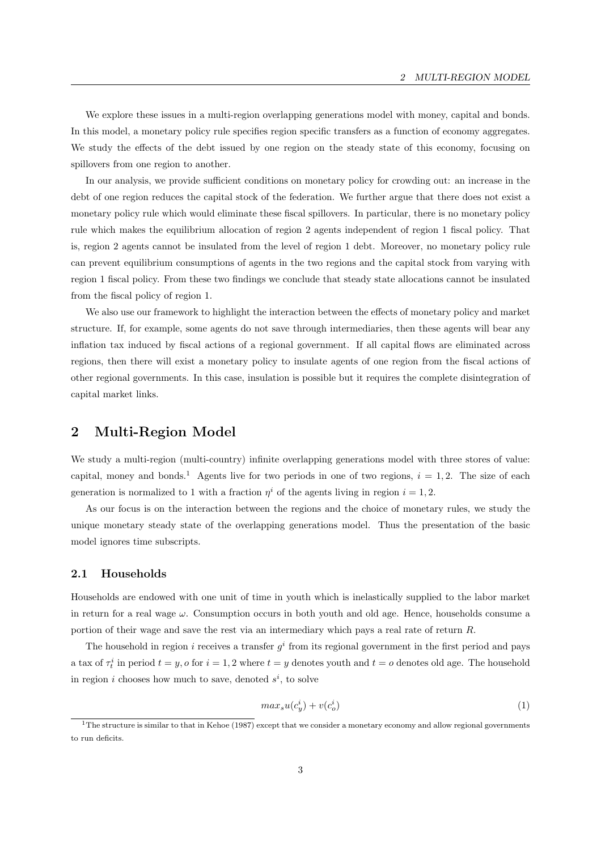We explore these issues in a multi-region overlapping generations model with money, capital and bonds. In this model, a monetary policy rule specifies region specific transfers as a function of economy aggregates. We study the effects of the debt issued by one region on the steady state of this economy, focusing on spillovers from one region to another.

In our analysis, we provide sufficient conditions on monetary policy for crowding out: an increase in the debt of one region reduces the capital stock of the federation. We further argue that there does not exist a monetary policy rule which would eliminate these fiscal spillovers. In particular, there is no monetary policy rule which makes the equilibrium allocation of region 2 agents independent of region 1 fiscal policy. That is, region 2 agents cannot be insulated from the level of region 1 debt. Moreover, no monetary policy rule can prevent equilibrium consumptions of agents in the two regions and the capital stock from varying with region 1 fiscal policy. From these two findings we conclude that steady state allocations cannot be insulated from the fiscal policy of region 1.

We also use our framework to highlight the interaction between the effects of monetary policy and market structure. If, for example, some agents do not save through intermediaries, then these agents will bear any inflation tax induced by fiscal actions of a regional government. If all capital flows are eliminated across regions, then there will exist a monetary policy to insulate agents of one region from the fiscal actions of other regional governments. In this case, insulation is possible but it requires the complete disintegration of capital market links.

# **2 Multi-Region Model**

We study a multi-region (multi-country) infinite overlapping generations model with three stores of value: capital, money and bonds.<sup>1</sup> Agents live for two periods in one of two regions,  $i = 1, 2$ . The size of each generation is normalized to 1 with a fraction  $\eta^{i}$  of the agents living in region  $i = 1, 2$ .

As our focus is on the interaction between the regions and the choice of monetary rules, we study the unique monetary steady state of the overlapping generations model. Thus the presentation of the basic model ignores time subscripts.

#### **2.1 Households**

Households are endowed with one unit of time in youth which is inelastically supplied to the labor market in return for a real wage  $\omega$ . Consumption occurs in both youth and old age. Hence, households consume a portion of their wage and save the rest via an intermediary which pays a real rate of return R.

The household in region i receives a transfer  $q^i$  from its regional government in the first period and pays a tax of  $\tau_t^i$  in period  $t = y$ , o for  $i = 1, 2$  where  $t = y$  denotes youth and  $t = o$  denotes old age. The household in region i chooses how much to save, denoted  $s^i$ , to solve

$$
max_s u(c_u^i) + v(c_o^i) \tag{1}
$$

 $1$ The structure is similar to that in Kehoe (1987) except that we consider a monetary economy and allow regional governments to run deficits.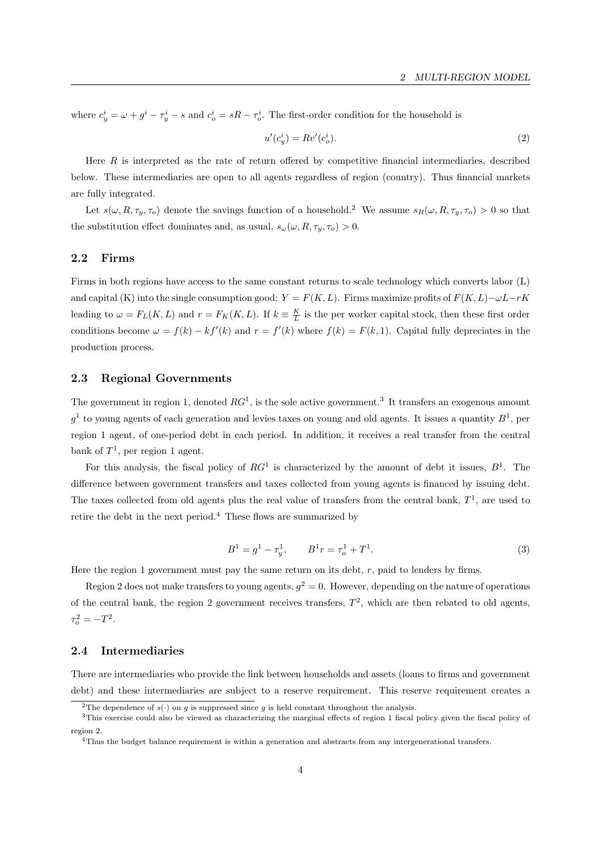where  $c_y^i = \omega + g^i - \tau_y^i - s$  and  $c_o^i = sR - \tau_o^i$ . The first-order condition for the household is

$$
u'(c_u^i) = Rv'(c_o^i). \tag{2}
$$

Here  $R$  is interpreted as the rate of return offered by competitive financial intermediaries, described below. These intermediaries are open to all agents regardless of region (country). Thus financial markets are fully integrated.

Let  $s(\omega, R, \tau_y, \tau_o)$  denote the savings function of a household.<sup>2</sup> We assume  $s_R(\omega, R, \tau_y, \tau_o) > 0$  so that the substitution effect dominates and, as usual,  $s_{\omega}(\omega, R, \tau_{\nu}, \tau_o) > 0$ .

#### **2.2 Firms**

Firms in both regions have access to the same constant returns to scale technology which converts labor (L) and capital (K) into the single consumption good:  $Y = F(K, L)$ . Firms maximize profits of  $F(K, L) - \omega L - rK$ leading to  $\omega = F_L(K, L)$  and  $r = F_K(K, L)$ . If  $k \equiv \frac{K}{L}$  is the per worker capital stock, then these first order conditions become  $\omega = f(k) - kf'(k)$  and  $r = f'(k)$  where  $f(k) = F(k, 1)$ . Capital fully depreciates in the production process.

#### **2.3 Regional Governments**

The government in region 1, denoted  $RG<sup>1</sup>$ , is the sole active government.<sup>3</sup> It transfers an exogenous amount  $g<sup>1</sup>$  to young agents of each generation and levies taxes on young and old agents. It issues a quantity  $B<sup>1</sup>$ , per region 1 agent, of one-period debt in each period. In addition, it receives a real transfer from the central bank of  $T^1$ , per region 1 agent.

For this analysis, the fiscal policy of  $RG<sup>1</sup>$  is characterized by the amount of debt it issues,  $B<sup>1</sup>$ . The difference between government transfers and taxes collected from young agents is financed by issuing debt. The taxes collected from old agents plus the real value of transfers from the central bank,  $T<sup>1</sup>$ , are used to retire the debt in the next period.<sup>4</sup> These flows are summarized by

$$
B^1 = g^1 - \tau_y^1, \qquad B^1 r = \tau_o^1 + T^1. \tag{3}
$$

Here the region 1 government must pay the same return on its debt,  $r$ , paid to lenders by firms.

Region 2 does not make transfers to young agents,  $g^2 = 0$ . However, depending on the nature of operations of the central bank, the region 2 government receives transfers,  $T^2$ , which are then rebated to old agents,  $\tau_o^2 = -T^2$ .

#### **2.4 Intermediaries**

There are intermediaries who provide the link between households and assets (loans to firms and government debt) and these intermediaries are subject to a reserve requirement. This reserve requirement creates a

<sup>&</sup>lt;sup>2</sup>The dependence of  $s(\cdot)$  on g is suppressed since g is held constant throughout the analysis.<br><sup>3</sup>This exercise could also be viewed as characterizing the marginal effects of region 1 fiscal policy given the fiscal poli region 2.

<sup>4</sup>Thus the budget balance requirement is within a generation and abstracts from any intergenerational transfers.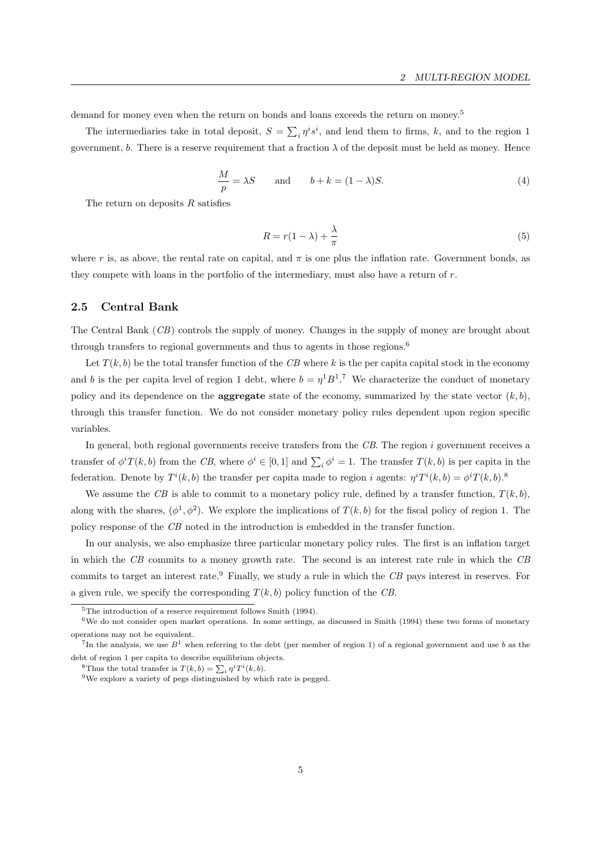demand for money even when the return on bonds and loans exceeds the return on money.<sup>5</sup>

The intermediaries take in total deposit,  $S = \sum_i \eta^i s^i$ , and lend them to firms, k, and to the region 1 government, b. There is a reserve requirement that a fraction  $\lambda$  of the deposit must be held as money. Hence

$$
\frac{M}{p} = \lambda S \quad \text{and} \quad b + k = (1 - \lambda)S. \tag{4}
$$

The return on deposits  $R$  satisfies

$$
R = r(1 - \lambda) + \frac{\lambda}{\pi} \tag{5}
$$

where r is, as above, the rental rate on capital, and  $\pi$  is one plus the inflation rate. Government bonds, as they compete with loans in the portfolio of the intermediary, must also have a return of r.

#### **2.5 Central Bank**

The Central Bank (CB) controls the supply of money. Changes in the supply of money are brought about through transfers to regional governments and thus to agents in those regions.<sup>6</sup>

Let  $T(k, b)$  be the total transfer function of the CB where k is the per capita capital stock in the economy and b is the per capita level of region 1 debt, where  $b = \eta^{1} B^{1}$ . We characterize the conduct of monetary policy and its dependence on the **aggregate** state of the economy, summarized by the state vector  $(k, b)$ , through this transfer function. We do not consider monetary policy rules dependent upon region specific variables.

In general, both regional governments receive transfers from the  $CB$ . The region  $i$  government receives a transfer of  $\phi^i T(k, b)$  from the CB, where  $\phi^i \in [0, 1]$  and  $\sum_i \phi^i = 1$ . The transfer  $T(k, b)$  is per capita in the federation. Denote by  $T^i(k, b)$  the transfer per capita made to region i agents:  $\eta^i T^i(k, b) = \phi^i T(k, b)$ .<sup>8</sup>

We assume the CB is able to commit to a monetary policy rule, defined by a transfer function,  $T(k, b)$ , along with the shares,  $(\phi^1, \phi^2)$ . We explore the implications of  $T(k, b)$  for the fiscal policy of region 1. The policy response of the CB noted in the introduction is embedded in the transfer function.

In our analysis, we also emphasize three particular monetary policy rules. The first is an inflation target in which the CB commits to a money growth rate. The second is an interest rate rule in which the CB commits to target an interest rate.<sup>9</sup> Finally, we study a rule in which the CB pays interest in reserves. For a given rule, we specify the corresponding  $T(k, b)$  policy function of the CB.

 $5$ The introduction of a reserve requirement follows Smith (1994).

 $6$ We do not consider open market operations. In some settings, as discussed in Smith (1994) these two forms of monetary operations may not be equivalent.

<sup>&</sup>lt;sup>7</sup>In the analysis, we use  $B<sup>1</sup>$  when referring to the debt (per member of region 1) of a regional government and use b as the debt of region 1 per capita to describe equilibrium objects.

<sup>&</sup>lt;sup>8</sup>Thus the total transfer is  $T(k, b) = \sum_i \eta^i T^i(k, b)$ .

 $19$ We explore a variety of pegs distinguished by which rate is pegged.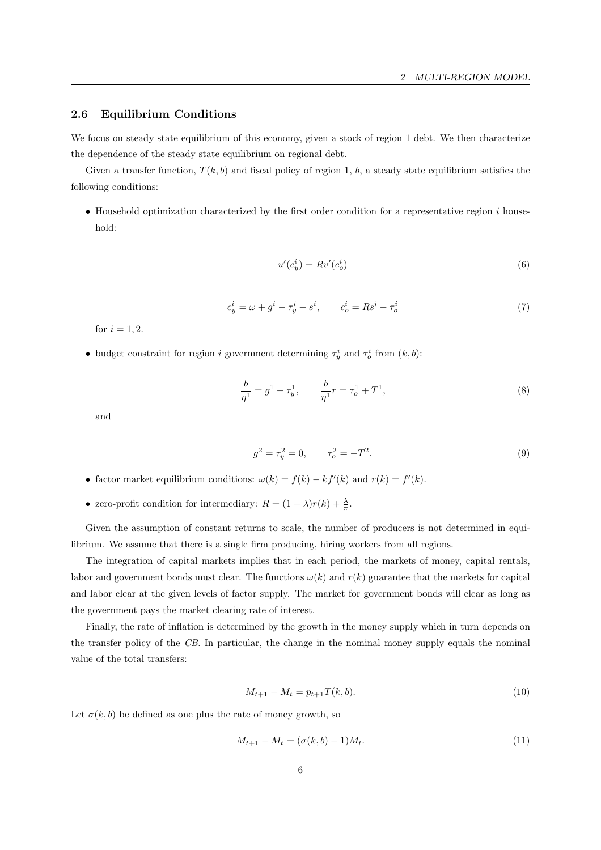#### **2.6 Equilibrium Conditions**

We focus on steady state equilibrium of this economy, given a stock of region 1 debt. We then characterize the dependence of the steady state equilibrium on regional debt.

Given a transfer function,  $T(k, b)$  and fiscal policy of region 1, b, a steady state equilibrium satisfies the following conditions:

• Household optimization characterized by the first order condition for a representative region i household:

$$
u'(c_u^i) = Rv'(c_o^i)
$$
\n<sup>(6)</sup>

$$
c_y^i = \omega + g^i - \tau_y^i - s^i, \qquad c_o^i = R s^i - \tau_o^i \tag{7}
$$

for  $i = 1, 2$ .

• budget constraint for region *i* government determining  $\tau_y^i$  and  $\tau_o^i$  from  $(k, b)$ :

$$
\frac{b}{\eta^1} = g^1 - \tau_y^1, \qquad \frac{b}{\eta^1}r = \tau_o^1 + T^1,\tag{8}
$$

and

$$
g^2 = \tau_y^2 = 0, \qquad \tau_o^2 = -T^2. \tag{9}
$$

- factor market equilibrium conditions:  $\omega(k) = f(k) kf'(k)$  and  $r(k) = f'(k)$ .
- zero-profit condition for intermediary:  $R = (1 \lambda)r(k) + \frac{\lambda}{\pi}$ .

Given the assumption of constant returns to scale, the number of producers is not determined in equilibrium. We assume that there is a single firm producing, hiring workers from all regions.

The integration of capital markets implies that in each period, the markets of money, capital rentals, labor and government bonds must clear. The functions  $\omega(k)$  and  $r(k)$  guarantee that the markets for capital and labor clear at the given levels of factor supply. The market for government bonds will clear as long as the government pays the market clearing rate of interest.

Finally, the rate of inflation is determined by the growth in the money supply which in turn depends on the transfer policy of the CB. In particular, the change in the nominal money supply equals the nominal value of the total transfers:

$$
M_{t+1} - M_t = p_{t+1} T(k, b). \tag{10}
$$

Let  $\sigma(k, b)$  be defined as one plus the rate of money growth, so

$$
M_{t+1} - M_t = (\sigma(k, b) - 1)M_t.
$$
\n(11)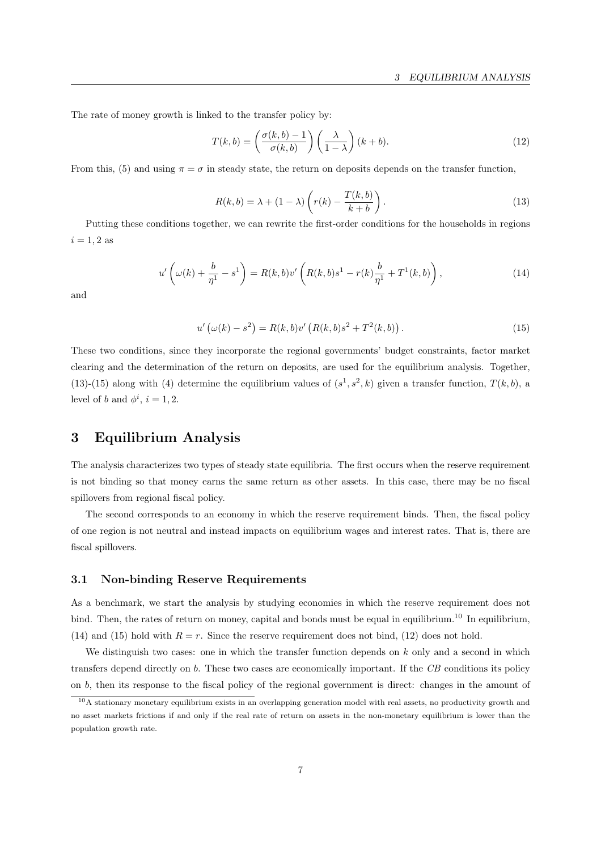The rate of money growth is linked to the transfer policy by:

$$
T(k,b) = \left(\frac{\sigma(k,b)-1}{\sigma(k,b)}\right)\left(\frac{\lambda}{1-\lambda}\right)(k+b). \tag{12}
$$

From this, (5) and using  $\pi = \sigma$  in steady state, the return on deposits depends on the transfer function,

$$
R(k,b) = \lambda + (1-\lambda) \left( r(k) - \frac{T(k,b)}{k+b} \right). \tag{13}
$$

Putting these conditions together, we can rewrite the first-order conditions for the households in regions  $i = 1, 2$  as

$$
u'\left(\omega(k) + \frac{b}{\eta^1} - s^1\right) = R(k, b)v'\left(R(k, b)s^1 - r(k)\frac{b}{\eta^1} + T^1(k, b)\right),\tag{14}
$$

and

$$
u'\left(\omega(k) - s^2\right) = R(k, b)v'\left(R(k, b)s^2 + T^2(k, b)\right). \tag{15}
$$

These two conditions, since they incorporate the regional governments' budget constraints, factor market clearing and the determination of the return on deposits, are used for the equilibrium analysis. Together, (13)-(15) along with (4) determine the equilibrium values of  $(s<sup>1</sup>, s<sup>2</sup>, k)$  given a transfer function,  $T(k, b)$ , a level of b and  $\phi^i$ ,  $i = 1, 2$ .

# **3 Equilibrium Analysis**

The analysis characterizes two types of steady state equilibria. The first occurs when the reserve requirement is not binding so that money earns the same return as other assets. In this case, there may be no fiscal spillovers from regional fiscal policy.

The second corresponds to an economy in which the reserve requirement binds. Then, the fiscal policy of one region is not neutral and instead impacts on equilibrium wages and interest rates. That is, there are fiscal spillovers.

#### **3.1 Non-binding Reserve Requirements**

As a benchmark, we start the analysis by studying economies in which the reserve requirement does not bind. Then, the rates of return on money, capital and bonds must be equal in equilibrium.<sup>10</sup> In equilibrium, (14) and (15) hold with  $R = r$ . Since the reserve requirement does not bind, (12) does not hold.

We distinguish two cases: one in which the transfer function depends on  $k$  only and a second in which transfers depend directly on b. These two cases are economically important. If the CB conditions its policy on b, then its response to the fiscal policy of the regional government is direct: changes in the amount of

<sup>&</sup>lt;sup>10</sup>A stationary monetary equilibrium exists in an overlapping generation model with real assets, no productivity growth and no asset markets frictions if and only if the real rate of return on assets in the non-monetary equilibrium is lower than the population growth rate.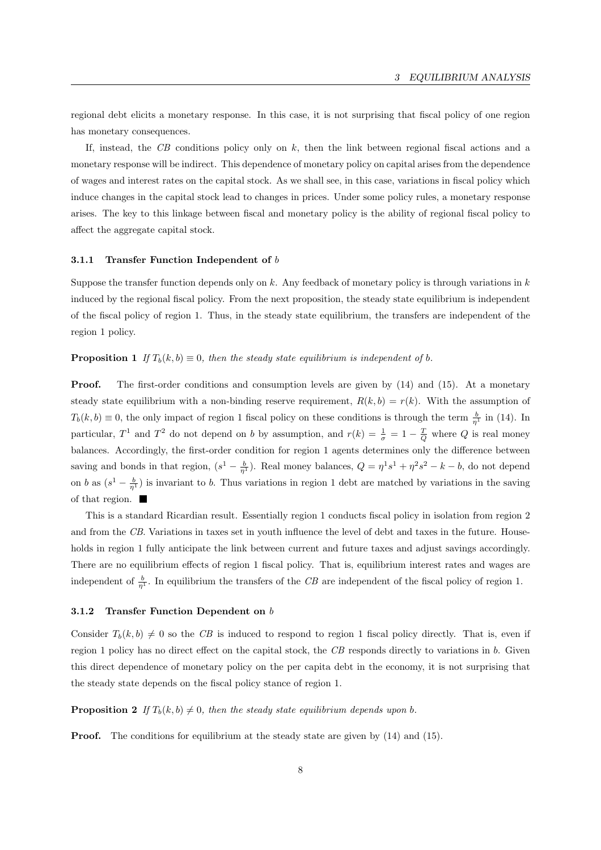regional debt elicits a monetary response. In this case, it is not surprising that fiscal policy of one region has monetary consequences.

If, instead, the  $CB$  conditions policy only on k, then the link between regional fiscal actions and a monetary response will be indirect. This dependence of monetary policy on capital arises from the dependence of wages and interest rates on the capital stock. As we shall see, in this case, variations in fiscal policy which induce changes in the capital stock lead to changes in prices. Under some policy rules, a monetary response arises. The key to this linkage between fiscal and monetary policy is the ability of regional fiscal policy to affect the aggregate capital stock.

#### **3.1.1 Transfer Function Independent of** b

Suppose the transfer function depends only on k. Any feedback of monetary policy is through variations in  $k$ induced by the regional fiscal policy. From the next proposition, the steady state equilibrium is independent of the fiscal policy of region 1. Thus, in the steady state equilibrium, the transfers are independent of the region 1 policy.

#### **Proposition 1** If  $T_b(k, b) \equiv 0$ , then the steady state equilibrium is independent of b.

**Proof.** The first-order conditions and consumption levels are given by  $(14)$  and  $(15)$ . At a monetary steady state equilibrium with a non-binding reserve requirement,  $R(k, b) = r(k)$ . With the assumption of  $T_b(k, b) \equiv 0$ , the only impact of region 1 fiscal policy on these conditions is through the term  $\frac{b}{\eta^1}$  in (14). In particular,  $T^1$  and  $T^2$  do not depend on b by assumption, and  $r(k) = \frac{1}{\sigma} = 1 - \frac{T}{Q}$  where Q is real money balances. Accordingly, the first-order condition for region 1 agents determines only the difference between saving and bonds in that region,  $(s^1 - \frac{b}{\eta^1})$ . Real money balances,  $Q = \eta^1 s^1 + \eta^2 s^2 - k - b$ , do not depend on b as  $(s^1 - \frac{b}{\eta^1})$  is invariant to b. Thus variations in region 1 debt are matched by variations in the saving of that region.

This is a standard Ricardian result. Essentially region 1 conducts fiscal policy in isolation from region 2 and from the CB. Variations in taxes set in youth influence the level of debt and taxes in the future. Households in region 1 fully anticipate the link between current and future taxes and adjust savings accordingly. There are no equilibrium effects of region 1 fiscal policy. That is, equilibrium interest rates and wages are independent of  $\frac{b}{n^1}$ . In equilibrium the transfers of the CB are independent of the fiscal policy of region 1.

#### **3.1.2 Transfer Function Dependent on** b

Consider  $T_b(k, b) \neq 0$  so the CB is induced to respond to region 1 fiscal policy directly. That is, even if region 1 policy has no direct effect on the capital stock, the CB responds directly to variations in b. Given this direct dependence of monetary policy on the per capita debt in the economy, it is not surprising that the steady state depends on the fiscal policy stance of region 1.

#### **Proposition 2** If  $T_b(k, b) \neq 0$ , then the steady state equilibrium depends upon b.

**Proof.** The conditions for equilibrium at the steady state are given by (14) and (15).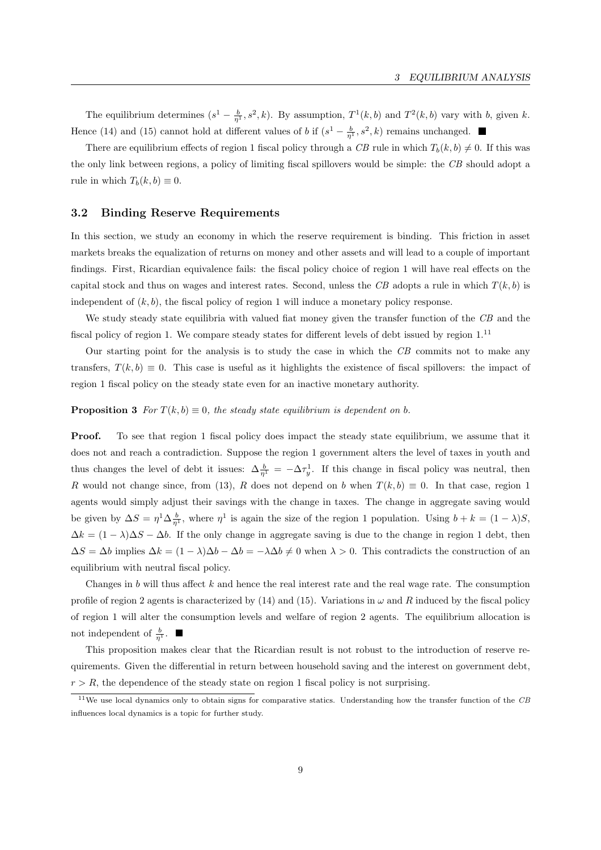The equilibrium determines  $(s^1 - \frac{b}{\eta^1}, s^2, k)$ . By assumption,  $T^1(k, b)$  and  $T^2(k, b)$  vary with b, given k. Hence (14) and (15) cannot hold at different values of b if  $(s^1 - \frac{b}{\eta^1}, s^2, k)$  remains unchanged.

There are equilibrium effects of region 1 fiscal policy through a CB rule in which  $T_b(k, b) \neq 0$ . If this was the only link between regions, a policy of limiting fiscal spillovers would be simple: the CB should adopt a rule in which  $T_b(k, b) \equiv 0$ .

#### **3.2 Binding Reserve Requirements**

In this section, we study an economy in which the reserve requirement is binding. This friction in asset markets breaks the equalization of returns on money and other assets and will lead to a couple of important findings. First, Ricardian equivalence fails: the fiscal policy choice of region 1 will have real effects on the capital stock and thus on wages and interest rates. Second, unless the CB adopts a rule in which  $T(k, b)$  is independent of  $(k, b)$ , the fiscal policy of region 1 will induce a monetary policy response.

We study steady state equilibria with valued fiat money given the transfer function of the CB and the fiscal policy of region 1. We compare steady states for different levels of debt issued by region 1.<sup>11</sup>

Our starting point for the analysis is to study the case in which the CB commits not to make any transfers,  $T(k, b) \equiv 0$ . This case is useful as it highlights the existence of fiscal spillovers: the impact of region 1 fiscal policy on the steady state even for an inactive monetary authority.

#### **Proposition 3** For  $T(k, b) \equiv 0$ , the steady state equilibrium is dependent on b.

**Proof.** To see that region 1 fiscal policy does impact the steady state equilibrium, we assume that it does not and reach a contradiction. Suppose the region 1 government alters the level of taxes in youth and thus changes the level of debt it issues:  $\Delta \frac{b}{\eta^1} = -\Delta \tau_y^1$ . If this change in fiscal policy was neutral, then R would not change since, from (13), R does not depend on b when  $T(k, b) \equiv 0$ . In that case, region 1 agents would simply adjust their savings with the change in taxes. The change in aggregate saving would be given by  $\Delta S = \eta^1 \Delta \frac{b}{\eta^1}$ , where  $\eta^1$  is again the size of the region 1 population. Using  $b + k = (1 - \lambda)S$ ,  $\Delta k = (1 - \lambda)\Delta S - \Delta b$ . If the only change in aggregate saving is due to the change in region 1 debt, then  $\Delta S = \Delta b$  implies  $\Delta k = (1 - \lambda)\Delta b - \Delta b = -\lambda\Delta b \neq 0$  when  $\lambda > 0$ . This contradicts the construction of an equilibrium with neutral fiscal policy.

Changes in b will thus affect  $k$  and hence the real interest rate and the real wage rate. The consumption profile of region 2 agents is characterized by (14) and (15). Variations in  $\omega$  and R induced by the fiscal policy of region 1 will alter the consumption levels and welfare of region 2 agents. The equilibrium allocation is not independent of  $\frac{b}{n^1}$ .

This proposition makes clear that the Ricardian result is not robust to the introduction of reserve requirements. Given the differential in return between household saving and the interest on government debt,  $r > R$ , the dependence of the steady state on region 1 fiscal policy is not surprising.

 $11$ We use local dynamics only to obtain signs for comparative statics. Understanding how the transfer function of the CB influences local dynamics is a topic for further study.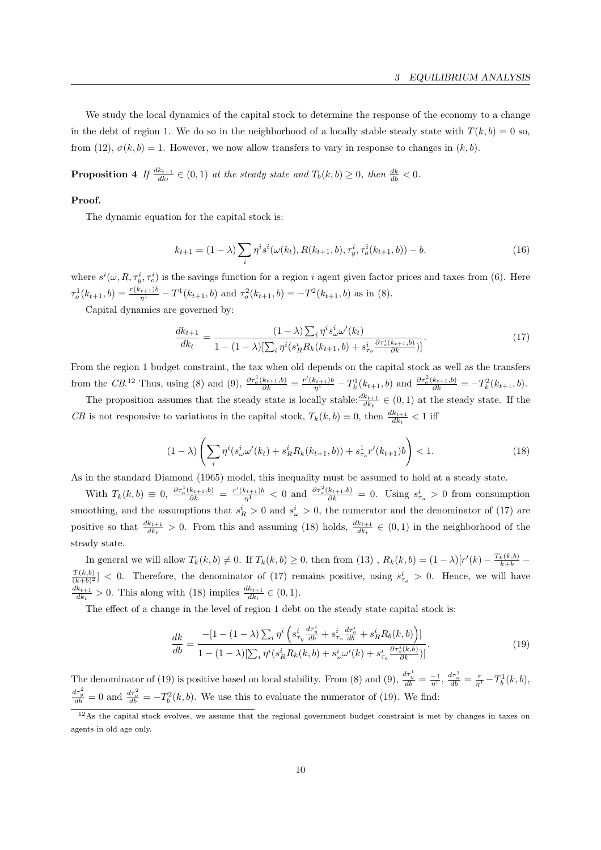We study the local dynamics of the capital stock to determine the response of the economy to a change in the debt of region 1. We do so in the neighborhood of a locally stable steady state with  $T(k, b) = 0$  so, from (12),  $\sigma(k, b) = 1$ . However, we now allow transfers to vary in response to changes in  $(k, b)$ .

**Proposition 4** If  $\frac{dk_{t+1}}{dk_t} \in (0,1)$  at the steady state and  $T_b(k,b) \ge 0$ , then  $\frac{dk}{db} < 0$ .

#### **Proof.**

The dynamic equation for the capital stock is:

$$
k_{t+1} = (1 - \lambda) \sum_{i} \eta^{i} s^{i}(\omega(k_{t}), R(k_{t+1}, b), \tau_{y}^{i}, \tau_{o}^{i}(k_{t+1}, b)) - b.
$$
 (16)

where  $s^i(\omega, R, \tau^i_{\nu}, \tau^i_{\rho})$  is the savings function for a region i agent given factor prices and taxes from (6). Here  $\tau_o^1(k_{t+1}, b) = \frac{r(k_{t+1})b}{\eta^1} - T^1(k_{t+1}, b)$  and  $\tau_o^2(k_{t+1}, b) = -T^2(k_{t+1}, b)$  as in (8).

Capital dynamics are governed by:

$$
\frac{dk_{t+1}}{dk_t} = \frac{(1-\lambda)\sum_i \eta^i s^i_{\omega} \omega'(k_t)}{1 - (1-\lambda)[\sum_i \eta^i(s^i_R R_k(k_{t+1}, b) + s^i_{\tau_o} \frac{\partial \tau^i_o(k_{t+1}, b)}{\partial k})]}.
$$
(17)

From the region 1 budget constraint, the tax when old depends on the capital stock as well as the transfers from the CB.<sup>12</sup> Thus, using (8) and (9),  $\frac{\partial \tau_o^1(k_{t+1},b)}{\partial k} = \frac{r'(k_{t+1})b}{\eta^1} - T_k^1(k_{t+1},b)$  and  $\frac{\partial \tau_o^2(k_{t+1},b)}{\partial k} = -T_k^2(k_{t+1},b)$ .

The proposition assumes that the steady state is locally stable:  $\frac{dk_{t+1}}{dk_t} \in (0,1)$  at the steady state. If the CB is not responsive to variations in the capital stock,  $T_k(k, b) \equiv 0$ , then  $\frac{dk_{t+1}}{dk_t} < 1$  iff

$$
(1 - \lambda) \left( \sum_{i} \eta^{i} (s_{\omega}^{i} \omega'(k_{t}) + s_{R}^{i} R_{k}(k_{t+1}, b)) + s_{\tau_{o}}^{1} r'(k_{t+1}) b \right) < 1.
$$
 (18)

As in the standard Diamond (1965) model, this inequality must be assumed to hold at a steady state.

With  $T_k(k, b) \equiv 0$ ,  $\frac{\partial \tau_o^1(k_{t+1}, b)}{\partial k} = \frac{\tau'(k_{t+1})b}{\eta^1} < 0$  and  $\frac{\partial \tau_o^2(k_{t+1}, b)}{\partial k} = 0$ . Using  $s_{\tau_o}^i > 0$  from consumption smoothing, and the assumptions that  $s_R^i > 0$  and  $s_\omega^i > 0$ , the numerator and the denominator of (17) are positive so that  $\frac{dk_{t+1}}{dk_t} > 0$ . From this and assuming (18) holds,  $\frac{dk_{t+1}}{dk_t} \in (0,1)$  in the neighborhood of the steady state.

In general we will allow  $T_k(k, b) \neq 0$ . If  $T_k(k, b) \geq 0$ , then from  $(13)$ ,  $R_k(k, b) = (1 - \lambda)[r'(k) - \frac{T_k(k, b)}{k + b} \frac{T(k,b)}{(k+b)^2}$  < 0. Therefore, the denominator of (17) remains positive, using  $s_{\tau_o}^i > 0$ . Hence, we will have  $\frac{dk_{t+1}}{dk_t} > 0$ . This along with (18) implies  $\frac{dk_{t+1}}{dk_t} \in (0,1)$ .

The effect of a change in the level of region 1 debt on the steady state capital stock is:

$$
\frac{dk}{db} = \frac{-[1 - (1 - \lambda)\sum_{i} \eta^{i} \left(s_{\tau_{y}}^{i} \frac{d\tau_{y}^{i}}{db} + s_{\tau_{o}}^{i} \frac{d\tau_{o}^{i}}{db} + s_{R}^{i} R_{b}(k, b)\right)]}{1 - (1 - \lambda)[\sum_{i} \eta^{i} (s_{R}^{i} R_{k}(k, b) + s_{\omega}^{i} \omega'(k) + s_{\tau_{o}}^{i} \frac{\partial \tau_{o}^{i}(k, b)}{\partial k})]}.
$$
\n(19)

The denominator of (19) is positive based on local stability. From (8) and (9),  $\frac{d\tau_y^1}{db} = \frac{-1}{\eta^1}$ ,  $\frac{d\tau_o^1}{db} = \frac{r}{\eta^1} - T_b^1(k, b)$ ,  $\frac{d\tau_y^2}{db} = 0$  and  $\frac{d\tau_o^2}{db} = -T_b^2(k, b)$ . We use this to evaluate the numerator of (19). We find:

 $12$ As the capital stock evolves, we assume that the regional government budget constraint is met by changes in taxes on agents in old age only.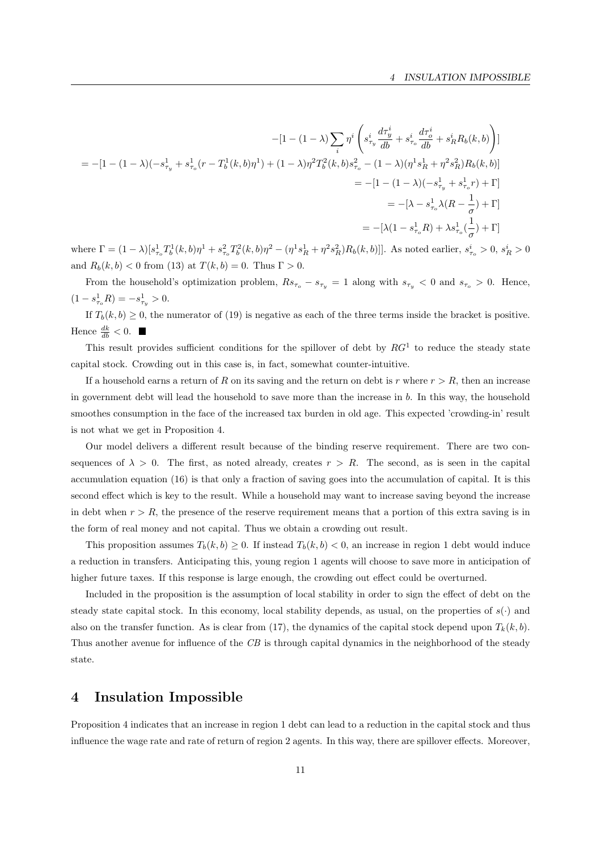$$
-[1 - (1 - \lambda)\sum_{i} \eta^{i} \left(s_{\tau_{y}}^{i} \frac{d\tau_{y}^{i}}{db} + s_{\tau_{o}}^{i} \frac{d\tau_{o}^{i}}{db} + s_{R}^{i} R_{b}(k, b)\right)]
$$
  
\n
$$
= -[1 - (1 - \lambda)(-s_{\tau_{y}}^{1} + s_{\tau_{o}}^{1}(r - T_{b}^{1}(k, b)\eta^{1}) + (1 - \lambda)\eta^{2}T_{b}^{2}(k, b)s_{\tau_{o}}^{2} - (1 - \lambda)(\eta^{1} s_{R}^{1} + \eta^{2} s_{R}^{2})R_{b}(k, b)]
$$
  
\n
$$
= -[1 - (1 - \lambda)(-s_{\tau_{y}}^{1} + s_{\tau_{o}}^{1}r) + \Gamma]
$$
  
\n
$$
= -[\lambda - s_{\tau_{o}}^{1}\lambda(R - \frac{1}{\sigma}) + \Gamma]
$$
  
\n
$$
= -[\lambda(1 - s_{\tau_{o}}^{1}R) + \lambda s_{\tau_{o}}^{1}(\frac{1}{\sigma}) + \Gamma]
$$

where  $\Gamma = (1 - \lambda)[s_{\tau_o}^1 T_b^1(k, b)\eta^1 + s_{\tau_o}^2 T_b^2(k, b)\eta^2 - (\eta^1 s_R^1 + \eta^2 s_R^2)R_b(k, b)]$ . As noted earlier,  $s_{\tau_o}^i > 0$ ,  $s_R^i > 0$ and  $R_b(k, b) < 0$  from (13) at  $T(k, b) = 0$ . Thus  $\Gamma > 0$ .

From the household's optimization problem,  $Rs_{\tau_o} - s_{\tau_u} = 1$  along with  $s_{\tau_u} < 0$  and  $s_{\tau_o} > 0$ . Hence,  $(1 - s_{\tau_o}^1 R) = -s_{\tau_y}^1 > 0.$ 

If  $T_b(k, b) \geq 0$ , the numerator of (19) is negative as each of the three terms inside the bracket is positive. Hence  $\frac{dk}{db} < 0$ .

This result provides sufficient conditions for the spillover of debt by  $RG<sup>1</sup>$  to reduce the steady state capital stock. Crowding out in this case is, in fact, somewhat counter-intuitive.

If a household earns a return of R on its saving and the return on debt is r where  $r > R$ , then an increase in government debt will lead the household to save more than the increase in b. In this way, the household smoothes consumption in the face of the increased tax burden in old age. This expected 'crowding-in' result is not what we get in Proposition 4.

Our model delivers a different result because of the binding reserve requirement. There are two consequences of  $\lambda > 0$ . The first, as noted already, creates  $r > R$ . The second, as is seen in the capital accumulation equation (16) is that only a fraction of saving goes into the accumulation of capital. It is this second effect which is key to the result. While a household may want to increase saving beyond the increase in debt when  $r > R$ , the presence of the reserve requirement means that a portion of this extra saving is in the form of real money and not capital. Thus we obtain a crowding out result.

This proposition assumes  $T_b(k, b) \geq 0$ . If instead  $T_b(k, b) < 0$ , an increase in region 1 debt would induce a reduction in transfers. Anticipating this, young region 1 agents will choose to save more in anticipation of higher future taxes. If this response is large enough, the crowding out effect could be overturned.

Included in the proposition is the assumption of local stability in order to sign the effect of debt on the steady state capital stock. In this economy, local stability depends, as usual, on the properties of  $s(\cdot)$  and also on the transfer function. As is clear from (17), the dynamics of the capital stock depend upon  $T_k(k, b)$ . Thus another avenue for influence of the CB is through capital dynamics in the neighborhood of the steady state.

## **4 Insulation Impossible**

Proposition 4 indicates that an increase in region 1 debt can lead to a reduction in the capital stock and thus influence the wage rate and rate of return of region 2 agents. In this way, there are spillover effects. Moreover,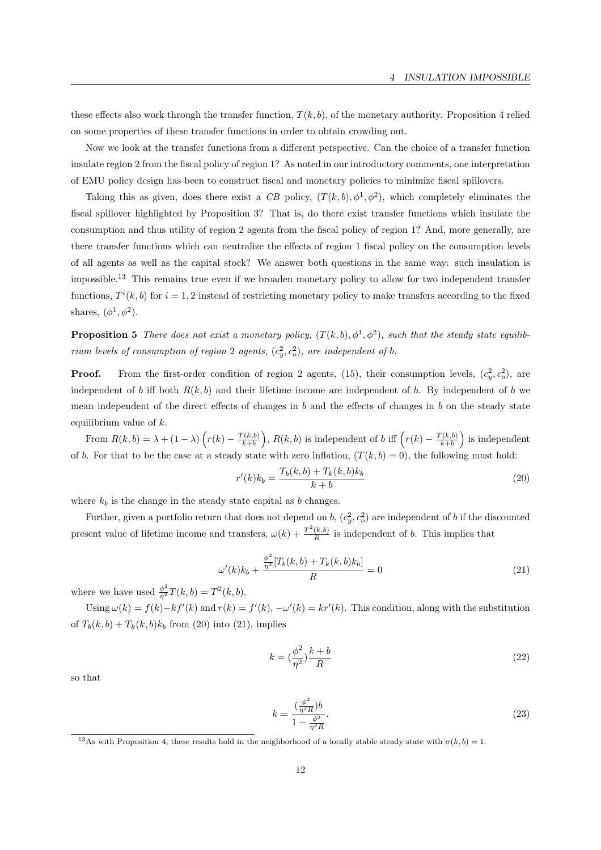these effects also work through the transfer function,  $T(k, b)$ , of the monetary authority. Proposition 4 relied on some properties of these transfer functions in order to obtain crowding out.

Now we look at the transfer functions from a different perspective. Can the choice of a transfer function insulate region 2 from the fiscal policy of region 1? As noted in our introductory comments, one interpretation of EMU policy design has been to construct fiscal and monetary policies to minimize fiscal spillovers.

Taking this as given, does there exist a CB policy,  $(T(k, b), \phi^1, \phi^2)$ , which completely eliminates the fiscal spillover highlighted by Proposition 3? That is, do there exist transfer functions which insulate the consumption and thus utility of region 2 agents from the fiscal policy of region 1? And, more generally, are there transfer functions which can neutralize the effects of region 1 fiscal policy on the consumption levels of all agents as well as the capital stock? We answer both questions in the same way: such insulation is impossible.<sup>13</sup> This remains true even if we broaden monetary policy to allow for two independent transfer functions,  $T^i(k, b)$  for  $i = 1, 2$  instead of restricting monetary policy to make transfers according to the fixed shares,  $(\phi^1, \phi^2)$ .

**Proposition 5** There does not exist a monetary policy,  $(T(k, b), \phi^1, \phi^2)$ , such that the steady state equilibrium levels of consumption of region 2 agents,  $(c_u^2, c_o^2)$ , are independent of b.

**Proof.** From the first-order condition of region 2 agents, (15), their consumption levels,  $(c_u^2, c_o^2)$ , are independent of b iff both  $R(k, b)$  and their lifetime income are independent of b. By independent of b we mean independent of the direct effects of changes in b and the effects of changes in b on the steady state equilibrium value of  $k$ .

From  $R(k, b) = \lambda + (1 - \lambda) \left( r(k) - \frac{T(k, b)}{k + b} \right)$ ,  $R(k, b)$  is independent of b iff  $\left( r(k) - \frac{T(k, b)}{k + b} \right)$  is independent of b. For that to be the case at a steady state with zero inflation,  $(T(k, b) = 0)$ , the following must hold:

$$
r'(k)k_b = \frac{T_b(k,b) + T_k(k,b)k_b}{k+b}
$$
\n(20)

where  $k_b$  is the change in the steady state capital as b changes.

Further, given a portfolio return that does not depend on b,  $(c_n^2, c_o^2)$  are independent of b if the discounted present value of lifetime income and transfers,  $\omega(k) + \frac{T^2(k,b)}{R}$  is independent of b. This implies that

$$
\omega'(k)k_b + \frac{\frac{\phi^2}{\eta^2}[T_b(k,b) + T_k(k,b)k_b]}{R} = 0
$$
\n(21)

where we have used  $\frac{\phi^2}{n^2}T(k,b) = T^2(k,b)$ .

Using  $\omega(k) = f(k) - kf'(k)$  and  $r(k) = f'(k)$ ,  $-\omega'(k) = kr'(k)$ . This condition, along with the substitution of  $T_b(k, b) + T_k(k, b)k_b$  from (20) into (21), implies

$$
k = \left(\frac{\phi^2}{\eta^2}\right)\frac{k+b}{R}
$$
\n<sup>(22)</sup>

so that

$$
k = \frac{\left(\frac{\phi^2}{\eta^2 R}\right)b}{1 - \frac{\phi^2}{\eta^2 R}}.\tag{23}
$$

<sup>&</sup>lt;sup>13</sup>As with Proposition 4, these results hold in the neighborhood of a locally stable steady state with  $\sigma(k, b) = 1$ .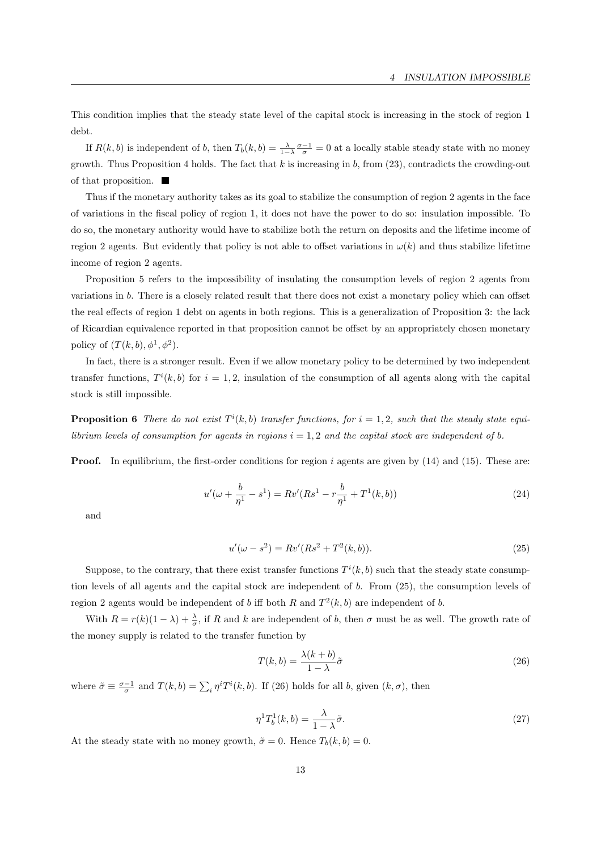This condition implies that the steady state level of the capital stock is increasing in the stock of region 1 debt.

If  $R(k, b)$  is independent of b, then  $T_b(k, b) = \frac{\lambda}{1-\lambda} \frac{\sigma-1}{\sigma} = 0$  at a locally stable steady state with no money growth. Thus Proposition 4 holds. The fact that k is increasing in b, from  $(23)$ , contradicts the crowding-out of that proposition.

Thus if the monetary authority takes as its goal to stabilize the consumption of region 2 agents in the face of variations in the fiscal policy of region 1, it does not have the power to do so: insulation impossible. To do so, the monetary authority would have to stabilize both the return on deposits and the lifetime income of region 2 agents. But evidently that policy is not able to offset variations in  $\omega(k)$  and thus stabilize lifetime income of region 2 agents.

Proposition 5 refers to the impossibility of insulating the consumption levels of region 2 agents from variations in b. There is a closely related result that there does not exist a monetary policy which can offset the real effects of region 1 debt on agents in both regions. This is a generalization of Proposition 3: the lack of Ricardian equivalence reported in that proposition cannot be offset by an appropriately chosen monetary policy of  $(T(k, b), \phi^1, \phi^2)$ .

In fact, there is a stronger result. Even if we allow monetary policy to be determined by two independent transfer functions,  $T^{i}(k, b)$  for  $i = 1, 2$ , insulation of the consumption of all agents along with the capital stock is still impossible.

**Proposition 6** There do not exist  $T^i(k, b)$  transfer functions, for  $i = 1, 2$ , such that the steady state equilibrium levels of consumption for agents in regions  $i = 1, 2$  and the capital stock are independent of b.

**Proof.** In equilibrium, the first-order conditions for region i agents are given by  $(14)$  and  $(15)$ . These are:

$$
u'(\omega + \frac{b}{\eta^1} - s^1) = Rv'(Rs^1 - r\frac{b}{\eta^1} + T^1(k, b))
$$
\n(24)

and

$$
u'(\omega - s^2) = Rv'(Rs^2 + T^2(k, b)).
$$
\n(25)

Suppose, to the contrary, that there exist transfer functions  $T^i(k, b)$  such that the steady state consumption levels of all agents and the capital stock are independent of b. From (25), the consumption levels of region 2 agents would be independent of b iff both R and  $T^2(k, b)$  are independent of b.

With  $R = r(k)(1 - \lambda) + \frac{\lambda}{\sigma}$ , if R and k are independent of b, then  $\sigma$  must be as well. The growth rate of the money supply is related to the transfer function by

$$
T(k,b) = \frac{\lambda(k+b)}{1-\lambda}\tilde{\sigma}
$$
\n(26)

where  $\tilde{\sigma} \equiv \frac{\sigma - 1}{\sigma}$  and  $T(k, b) = \sum_i \eta^i T^i(k, b)$ . If (26) holds for all b, given  $(k, \sigma)$ , then

$$
\eta^1 T_b^1(k, b) = \frac{\lambda}{1 - \lambda} \tilde{\sigma}.\tag{27}
$$

At the steady state with no money growth,  $\tilde{\sigma} = 0$ . Hence  $T_b(k, b) = 0$ .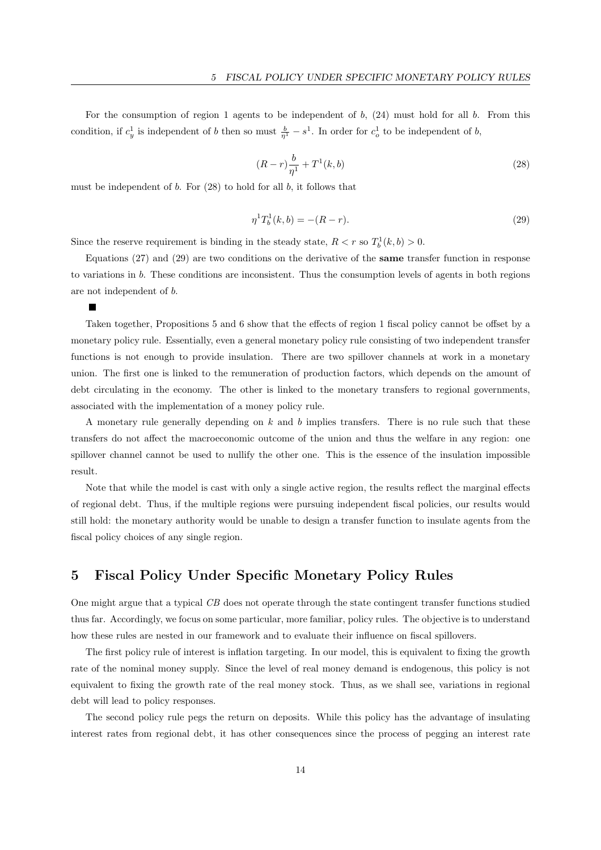For the consumption of region 1 agents to be independent of  $b$ ,  $(24)$  must hold for all  $b$ . From this condition, if  $c_y^1$  is independent of b then so must  $\frac{b}{\eta^1} - s^1$ . In order for  $c_o^1$  to be independent of b,

$$
(R - r)\frac{b}{\eta^1} + T^1(k, b)
$$
\n(28)

must be independent of  $b$ . For  $(28)$  to hold for all  $b$ , it follows that

$$
\eta^1 T_b^1(k, b) = -(R - r). \tag{29}
$$

Since the reserve requirement is binding in the steady state,  $R < r$  so  $T_b^1(k, b) > 0$ .

Equations (27) and (29) are two conditions on the derivative of the **same** transfer function in response to variations in b. These conditions are inconsistent. Thus the consumption levels of agents in both regions are not independent of b.

Taken together, Propositions 5 and 6 show that the effects of region 1 fiscal policy cannot be offset by a monetary policy rule. Essentially, even a general monetary policy rule consisting of two independent transfer functions is not enough to provide insulation. There are two spillover channels at work in a monetary union. The first one is linked to the remuneration of production factors, which depends on the amount of debt circulating in the economy. The other is linked to the monetary transfers to regional governments, associated with the implementation of a money policy rule.

A monetary rule generally depending on  $k$  and  $b$  implies transfers. There is no rule such that these transfers do not affect the macroeconomic outcome of the union and thus the welfare in any region: one spillover channel cannot be used to nullify the other one. This is the essence of the insulation impossible result.

Note that while the model is cast with only a single active region, the results reflect the marginal effects of regional debt. Thus, if the multiple regions were pursuing independent fiscal policies, our results would still hold: the monetary authority would be unable to design a transfer function to insulate agents from the fiscal policy choices of any single region.

# **5 Fiscal Policy Under Specific Monetary Policy Rules**

One might argue that a typical CB does not operate through the state contingent transfer functions studied thus far. Accordingly, we focus on some particular, more familiar, policy rules. The objective is to understand how these rules are nested in our framework and to evaluate their influence on fiscal spillovers.

The first policy rule of interest is inflation targeting. In our model, this is equivalent to fixing the growth rate of the nominal money supply. Since the level of real money demand is endogenous, this policy is not equivalent to fixing the growth rate of the real money stock. Thus, as we shall see, variations in regional debt will lead to policy responses.

The second policy rule pegs the return on deposits. While this policy has the advantage of insulating interest rates from regional debt, it has other consequences since the process of pegging an interest rate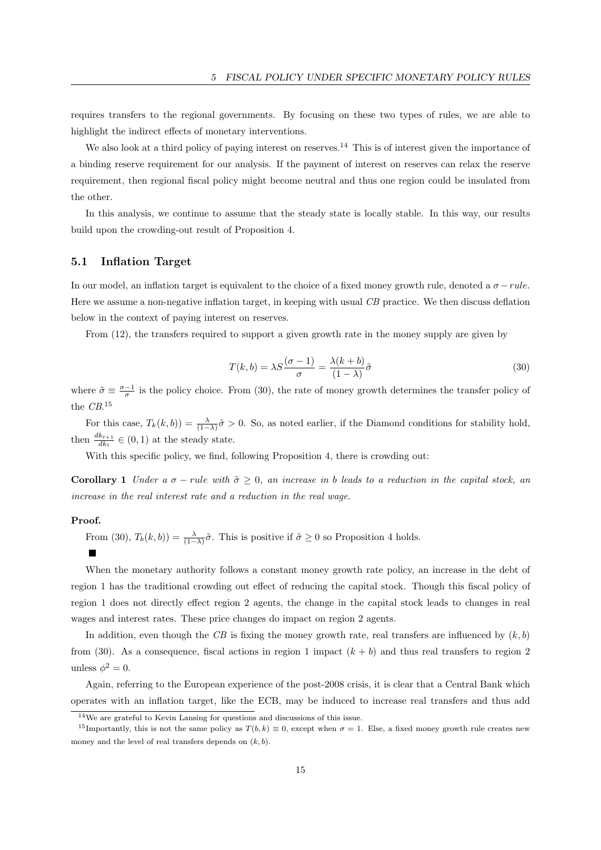requires transfers to the regional governments. By focusing on these two types of rules, we are able to highlight the indirect effects of monetary interventions.

We also look at a third policy of paying interest on reserves.<sup>14</sup> This is of interest given the importance of a binding reserve requirement for our analysis. If the payment of interest on reserves can relax the reserve requirement, then regional fiscal policy might become neutral and thus one region could be insulated from the other.

In this analysis, we continue to assume that the steady state is locally stable. In this way, our results build upon the crowding-out result of Proposition 4.

#### **5.1 Inflation Target**

In our model, an inflation target is equivalent to the choice of a fixed money growth rule, denoted a  $\sigma$  −rule. Here we assume a non-negative inflation target, in keeping with usual CB practice. We then discuss deflation below in the context of paying interest on reserves.

From (12), the transfers required to support a given growth rate in the money supply are given by

$$
T(k,b) = \lambda S \frac{(\sigma - 1)}{\sigma} = \frac{\lambda(k + b)}{(1 - \lambda)} \tilde{\sigma}
$$
\n(30)

where  $\tilde{\sigma} \equiv \frac{\sigma - 1}{\sigma}$  is the policy choice. From (30), the rate of money growth determines the transfer policy of the  $CB.^{15}$ 

For this case,  $T_k(k, b) = \frac{\lambda}{(1-\lambda)}\tilde{\sigma} > 0$ . So, as noted earlier, if the Diamond conditions for stability hold, then  $\frac{dk_{t+1}}{dk_t} \in (0,1)$  at the steady state.

With this specific policy, we find, following Proposition 4, there is crowding out:

**Corollary 1** Under a  $\sigma$  − rule with  $\tilde{\sigma} \geq 0$ , an increase in b leads to a reduction in the capital stock, an increase in the real interest rate and a reduction in the real wage.

#### **Proof.**

From (30),  $T_b(k, b) = \frac{\lambda}{(1-\lambda)}\tilde{\sigma}$ . This is positive if  $\tilde{\sigma} \ge 0$  so Proposition 4 holds.

When the monetary authority follows a constant money growth rate policy, an increase in the debt of region 1 has the traditional crowding out effect of reducing the capital stock. Though this fiscal policy of region 1 does not directly effect region 2 agents, the change in the capital stock leads to changes in real wages and interest rates. These price changes do impact on region 2 agents.

In addition, even though the CB is fixing the money growth rate, real transfers are influenced by  $(k, b)$ from (30). As a consequence, fiscal actions in region 1 impact  $(k + b)$  and thus real transfers to region 2 unless  $\phi^2 = 0$ .

Again, referring to the European experience of the post-2008 crisis, it is clear that a Central Bank which operates with an inflation target, like the ECB, may be induced to increase real transfers and thus add

<sup>&</sup>lt;sup>14</sup>We are grateful to Kevin Lansing for questions and discussions of this issue.

<sup>&</sup>lt;sup>15</sup>Importantly, this is not the same policy as  $T(b, k) \equiv 0$ , except when  $\sigma = 1$ . Else, a fixed money growth rule creates new money and the level of real transfers depends on  $(k, b)$ .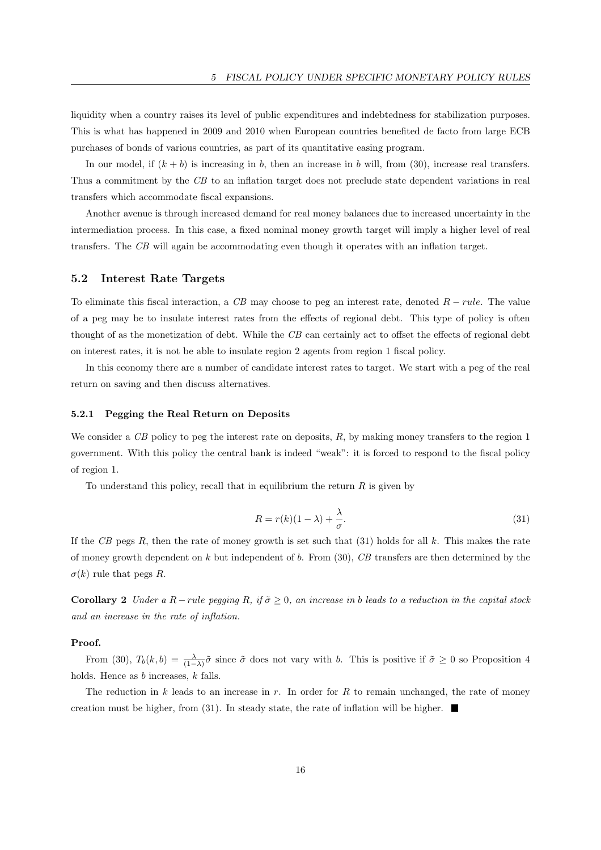liquidity when a country raises its level of public expenditures and indebtedness for stabilization purposes. This is what has happened in 2009 and 2010 when European countries benefited de facto from large ECB purchases of bonds of various countries, as part of its quantitative easing program.

In our model, if  $(k + b)$  is increasing in b, then an increase in b will, from (30), increase real transfers. Thus a commitment by the CB to an inflation target does not preclude state dependent variations in real transfers which accommodate fiscal expansions.

Another avenue is through increased demand for real money balances due to increased uncertainty in the intermediation process. In this case, a fixed nominal money growth target will imply a higher level of real transfers. The CB will again be accommodating even though it operates with an inflation target.

### **5.2 Interest Rate Targets**

To eliminate this fiscal interaction, a  $CB$  may choose to peg an interest rate, denoted  $R - rule$ . The value of a peg may be to insulate interest rates from the effects of regional debt. This type of policy is often thought of as the monetization of debt. While the CB can certainly act to offset the effects of regional debt on interest rates, it is not be able to insulate region 2 agents from region 1 fiscal policy.

In this economy there are a number of candidate interest rates to target. We start with a peg of the real return on saving and then discuss alternatives.

#### **5.2.1 Pegging the Real Return on Deposits**

We consider a CB policy to peg the interest rate on deposits, R, by making money transfers to the region 1 government. With this policy the central bank is indeed "weak": it is forced to respond to the fiscal policy of region 1.

To understand this policy, recall that in equilibrium the return  $R$  is given by

$$
R = r(k)(1 - \lambda) + \frac{\lambda}{\sigma}.\tag{31}
$$

If the CB pegs R, then the rate of money growth is set such that  $(31)$  holds for all k. This makes the rate of money growth dependent on k but independent of b. From  $(30)$ , CB transfers are then determined by the  $\sigma(k)$  rule that pegs R.

**Corollary 2** Under a R − rule pegging R, if  $\tilde{\sigma} \geq 0$ , an increase in b leads to a reduction in the capital stock and an increase in the rate of inflation.

#### **Proof.**

From (30),  $T_b(k, b) = \frac{\lambda}{(1-\lambda)}\tilde{\sigma}$  since  $\tilde{\sigma}$  does not vary with b. This is positive if  $\tilde{\sigma} \geq 0$  so Proposition 4 holds. Hence as *b* increases, *k* falls.

The reduction in  $k$  leads to an increase in  $r$ . In order for  $R$  to remain unchanged, the rate of money creation must be higher, from (31). In steady state, the rate of inflation will be higher.  $\blacksquare$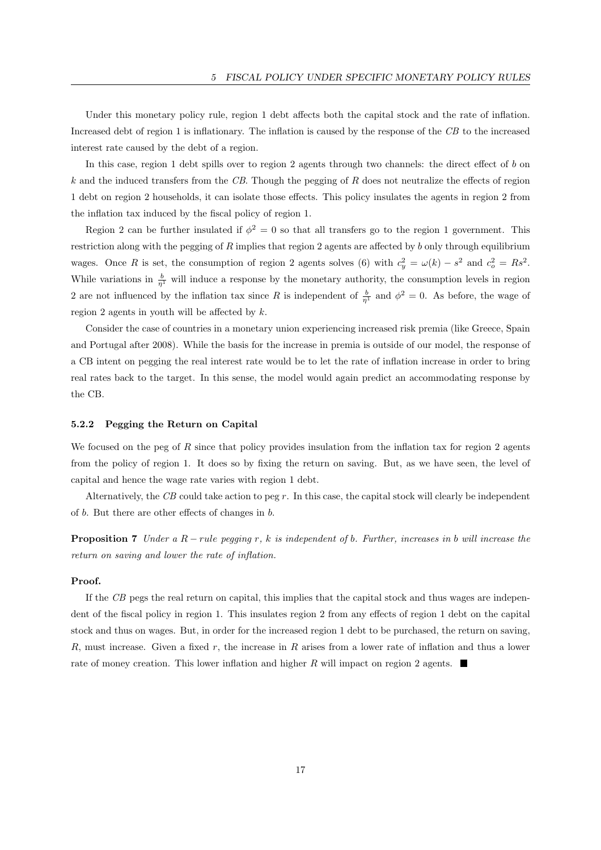Under this monetary policy rule, region 1 debt affects both the capital stock and the rate of inflation. Increased debt of region 1 is inflationary. The inflation is caused by the response of the CB to the increased interest rate caused by the debt of a region.

In this case, region 1 debt spills over to region 2 agents through two channels: the direct effect of  $b$  on  $k$  and the induced transfers from the CB. Though the pegging of  $R$  does not neutralize the effects of region 1 debt on region 2 households, it can isolate those effects. This policy insulates the agents in region 2 from the inflation tax induced by the fiscal policy of region 1.

Region 2 can be further insulated if  $\phi^2 = 0$  so that all transfers go to the region 1 government. This restriction along with the pegging of  $R$  implies that region 2 agents are affected by  $b$  only through equilibrium wages. Once R is set, the consumption of region 2 agents solves (6) with  $c_y^2 = \omega(k) - s^2$  and  $c_o^2 = Rs^2$ . While variations in  $\frac{b}{n^1}$  will induce a response by the monetary authority, the consumption levels in region 2 are not influenced by the inflation tax since R is independent of  $\frac{b}{n^1}$  and  $\phi^2 = 0$ . As before, the wage of region 2 agents in youth will be affected by  $k$ .

Consider the case of countries in a monetary union experiencing increased risk premia (like Greece, Spain and Portugal after 2008). While the basis for the increase in premia is outside of our model, the response of a CB intent on pegging the real interest rate would be to let the rate of inflation increase in order to bring real rates back to the target. In this sense, the model would again predict an accommodating response by the CB.

#### **5.2.2 Pegging the Return on Capital**

We focused on the peg of  $R$  since that policy provides insulation from the inflation tax for region 2 agents from the policy of region 1. It does so by fixing the return on saving. But, as we have seen, the level of capital and hence the wage rate varies with region 1 debt.

Alternatively, the CB could take action to peg  $r$ . In this case, the capital stock will clearly be independent of b. But there are other effects of changes in b.

**Proposition 7** Under a  $R$  − rule pegging r, k is independent of b. Further, increases in b will increase the return on saving and lower the rate of inflation.

#### **Proof.**

If the CB pegs the real return on capital, this implies that the capital stock and thus wages are independent of the fiscal policy in region 1. This insulates region 2 from any effects of region 1 debt on the capital stock and thus on wages. But, in order for the increased region 1 debt to be purchased, the return on saving, R, must increase. Given a fixed  $r$ , the increase in R arises from a lower rate of inflation and thus a lower rate of money creation. This lower inflation and higher R will impact on region 2 agents.  $\blacksquare$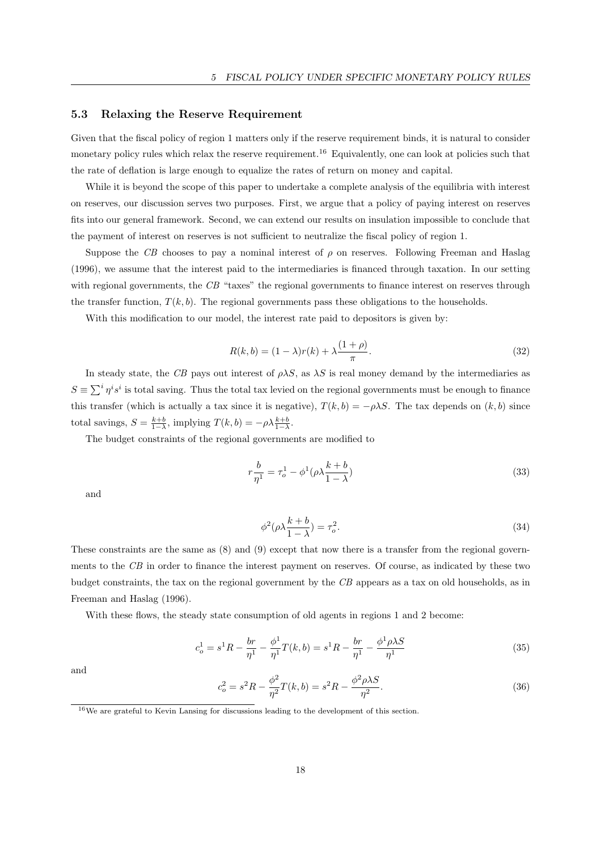#### **5.3 Relaxing the Reserve Requirement**

Given that the fiscal policy of region 1 matters only if the reserve requirement binds, it is natural to consider monetary policy rules which relax the reserve requirement.<sup>16</sup> Equivalently, one can look at policies such that the rate of deflation is large enough to equalize the rates of return on money and capital.

While it is beyond the scope of this paper to undertake a complete analysis of the equilibria with interest on reserves, our discussion serves two purposes. First, we argue that a policy of paying interest on reserves fits into our general framework. Second, we can extend our results on insulation impossible to conclude that the payment of interest on reserves is not sufficient to neutralize the fiscal policy of region 1.

Suppose the CB chooses to pay a nominal interest of  $\rho$  on reserves. Following Freeman and Haslag (1996), we assume that the interest paid to the intermediaries is financed through taxation. In our setting with regional governments, the CB "taxes" the regional governments to finance interest on reserves through the transfer function,  $T(k, b)$ . The regional governments pass these obligations to the households.

With this modification to our model, the interest rate paid to depositors is given by:

$$
R(k,b) = (1 - \lambda)r(k) + \lambda \frac{(1 + \rho)}{\pi}.
$$
\n
$$
(32)
$$

In steady state, the CB pays out interest of  $\rho\lambda S$ , as  $\lambda S$  is real money demand by the intermediaries as  $S \equiv \sum^{i} \eta^{i} s^{i}$  is total saving. Thus the total tax levied on the regional governments must be enough to finance this transfer (which is actually a tax since it is negative),  $T(k, b) = -\rho\lambda S$ . The tax depends on  $(k, b)$  since total savings,  $S = \frac{k+b}{1-\lambda}$ , implying  $T(k, b) = -\rho \lambda \frac{k+b}{1-\lambda}$ .

The budget constraints of the regional governments are modified to

$$
r\frac{b}{\eta^1} = \tau_o^1 - \phi^1(\rho \lambda \frac{k+b}{1-\lambda})
$$
\n(33)

and

$$
\phi^2(\rho \lambda \frac{k+b}{1-\lambda}) = \tau_o^2. \tag{34}
$$

These constraints are the same as (8) and (9) except that now there is a transfer from the regional governments to the CB in order to finance the interest payment on reserves. Of course, as indicated by these two budget constraints, the tax on the regional government by the CB appears as a tax on old households, as in Freeman and Haslag (1996).

With these flows, the steady state consumption of old agents in regions 1 and 2 become:

$$
c_o^1 = s^1 R - \frac{br}{\eta^1} - \frac{\phi^1}{\eta^1} T(k, b) = s^1 R - \frac{br}{\eta^1} - \frac{\phi^1 \rho \lambda S}{\eta^1}
$$
\n(35)

and

$$
c_o^2 = s^2 R - \frac{\phi^2}{\eta^2} T(k, b) = s^2 R - \frac{\phi^2 \rho \lambda S}{\eta^2}.
$$
 (36)

<sup>16</sup>We are grateful to Kevin Lansing for discussions leading to the development of this section.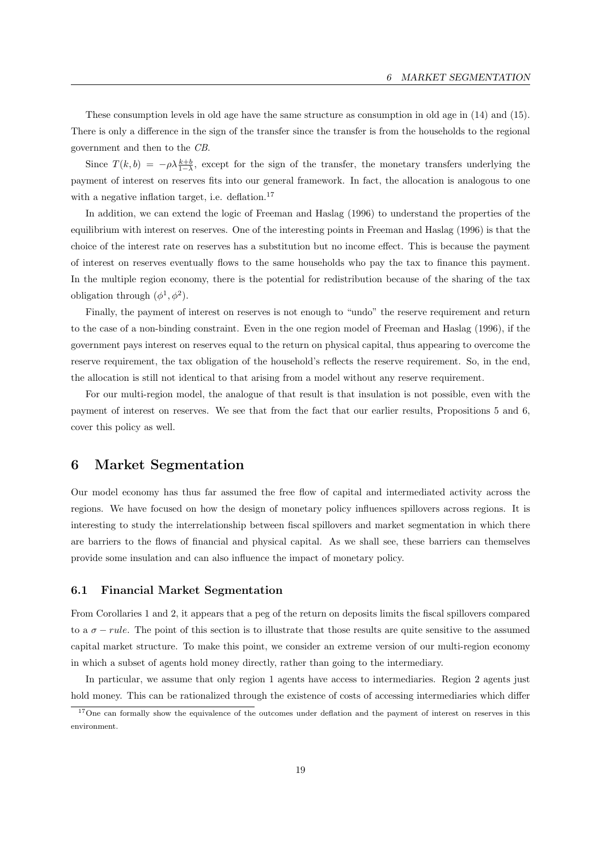These consumption levels in old age have the same structure as consumption in old age in (14) and (15). There is only a difference in the sign of the transfer since the transfer is from the households to the regional government and then to the CB.

Since  $T(k, b) = -\rho \lambda \frac{k+b}{1-\lambda}$ , except for the sign of the transfer, the monetary transfers underlying the payment of interest on reserves fits into our general framework. In fact, the allocation is analogous to one with a negative inflation target, i.e. deflation.<sup>17</sup>

In addition, we can extend the logic of Freeman and Haslag (1996) to understand the properties of the equilibrium with interest on reserves. One of the interesting points in Freeman and Haslag (1996) is that the choice of the interest rate on reserves has a substitution but no income effect. This is because the payment of interest on reserves eventually flows to the same households who pay the tax to finance this payment. In the multiple region economy, there is the potential for redistribution because of the sharing of the tax obligation through  $(\phi^1, \phi^2)$ .

Finally, the payment of interest on reserves is not enough to "undo" the reserve requirement and return to the case of a non-binding constraint. Even in the one region model of Freeman and Haslag (1996), if the government pays interest on reserves equal to the return on physical capital, thus appearing to overcome the reserve requirement, the tax obligation of the household's reflects the reserve requirement. So, in the end, the allocation is still not identical to that arising from a model without any reserve requirement.

For our multi-region model, the analogue of that result is that insulation is not possible, even with the payment of interest on reserves. We see that from the fact that our earlier results, Propositions 5 and 6, cover this policy as well.

## **6 Market Segmentation**

Our model economy has thus far assumed the free flow of capital and intermediated activity across the regions. We have focused on how the design of monetary policy influences spillovers across regions. It is interesting to study the interrelationship between fiscal spillovers and market segmentation in which there are barriers to the flows of financial and physical capital. As we shall see, these barriers can themselves provide some insulation and can also influence the impact of monetary policy.

#### **6.1 Financial Market Segmentation**

From Corollaries 1 and 2, it appears that a peg of the return on deposits limits the fiscal spillovers compared to a  $\sigma$  – rule. The point of this section is to illustrate that those results are quite sensitive to the assumed capital market structure. To make this point, we consider an extreme version of our multi-region economy in which a subset of agents hold money directly, rather than going to the intermediary.

In particular, we assume that only region 1 agents have access to intermediaries. Region 2 agents just hold money. This can be rationalized through the existence of costs of accessing intermediaries which differ

<sup>&</sup>lt;sup>17</sup>One can formally show the equivalence of the outcomes under deflation and the payment of interest on reserves in this environment.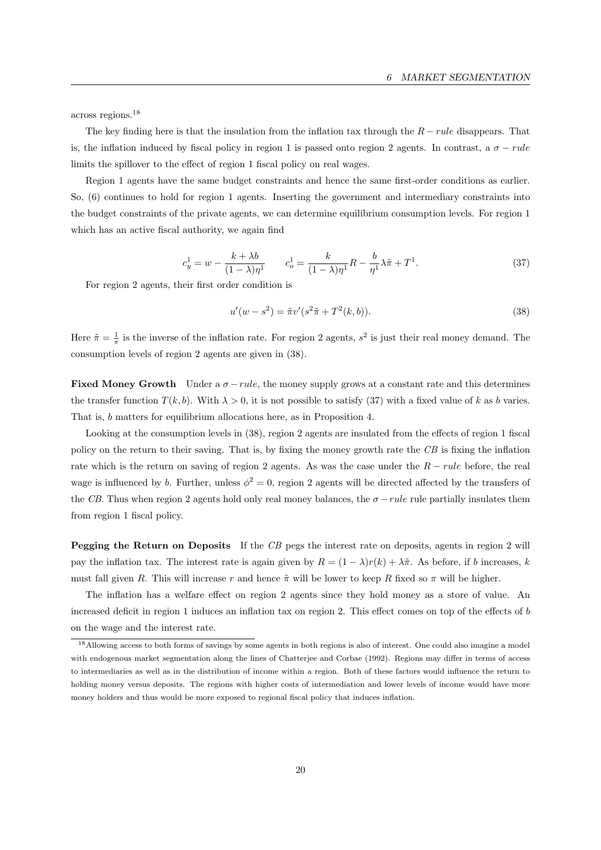across regions.<sup>18</sup>

The key finding here is that the insulation from the inflation tax through the  $R - rule$  disappears. That is, the inflation induced by fiscal policy in region 1 is passed onto region 2 agents. In contrast, a  $\sigma$  − rule limits the spillover to the effect of region 1 fiscal policy on real wages.

Region 1 agents have the same budget constraints and hence the same first-order conditions as earlier. So, (6) continues to hold for region 1 agents. Inserting the government and intermediary constraints into the budget constraints of the private agents, we can determine equilibrium consumption levels. For region 1 which has an active fiscal authority, we again find

$$
c_y^1 = w - \frac{k + \lambda b}{(1 - \lambda)\eta^1} \qquad c_o^1 = \frac{k}{(1 - \lambda)\eta^1}R - \frac{b}{\eta^1}\lambda\tilde{\pi} + T^1. \tag{37}
$$

For region 2 agents, their first order condition is

$$
u'(w - s^2) = \tilde{\pi}v'(s^2\tilde{\pi} + T^2(k, b)).
$$
\n(38)

Here  $\tilde{\pi} = \frac{1}{\pi}$  is the inverse of the inflation rate. For region 2 agents,  $s^2$  is just their real money demand. The consumption levels of region 2 agents are given in (38).

**Fixed Money Growth** Under a  $\sigma$  − rule, the money supply grows at a constant rate and this determines the transfer function  $T(k, b)$ . With  $\lambda > 0$ , it is not possible to satisfy (37) with a fixed value of k as b varies. That is, b matters for equilibrium allocations here, as in Proposition 4.

Looking at the consumption levels in (38), region 2 agents are insulated from the effects of region 1 fiscal policy on the return to their saving. That is, by fixing the money growth rate the CB is fixing the inflation rate which is the return on saving of region 2 agents. As was the case under the  $R - rule$  before, the real wage is influenced by b. Further, unless  $\phi^2 = 0$ , region 2 agents will be directed affected by the transfers of the CB. Thus when region 2 agents hold only real money balances, the  $\sigma$  – rule rule partially insulates them from region 1 fiscal policy.

**Pegging the Return on Deposits** If the CB pegs the interest rate on deposits, agents in region 2 will pay the inflation tax. The interest rate is again given by  $R = (1 - \lambda)r(k) + \lambda\tilde{\pi}$ . As before, if b increases, k must fall given R. This will increase r and hence  $\tilde{\pi}$  will be lower to keep R fixed so  $\pi$  will be higher.

The inflation has a welfare effect on region 2 agents since they hold money as a store of value. An increased deficit in region 1 induces an inflation tax on region 2. This effect comes on top of the effects of b on the wage and the interest rate.

<sup>&</sup>lt;sup>18</sup>Allowing access to both forms of savings by some agents in both regions is also of interest. One could also imagine a model with endogenous market segmentation along the lines of Chatterjee and Corbae (1992). Regions may differ in terms of access to intermediaries as well as in the distribution of income within a region. Both of these factors would influence the return to holding money versus deposits. The regions with higher costs of intermediation and lower levels of income would have more money holders and thus would be more exposed to regional fiscal policy that induces inflation.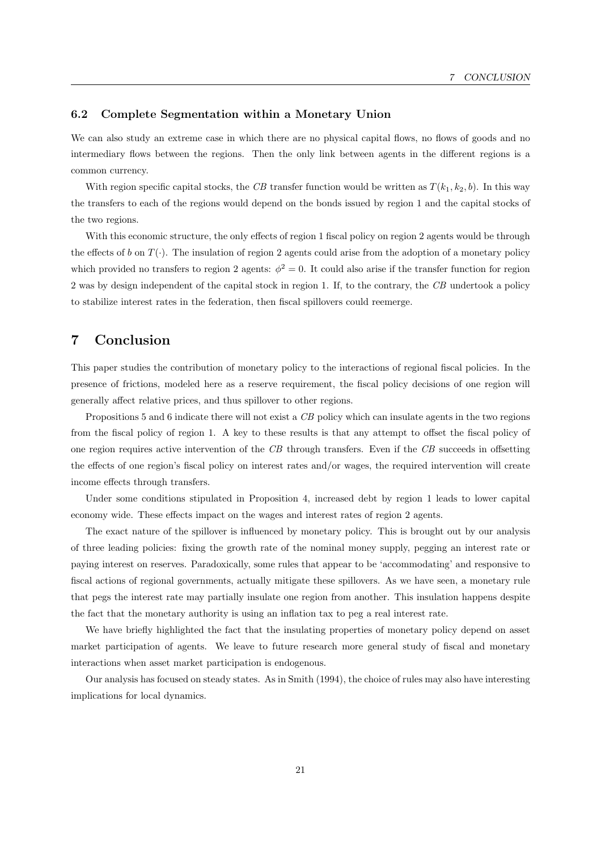#### **6.2 Complete Segmentation within a Monetary Union**

We can also study an extreme case in which there are no physical capital flows, no flows of goods and no intermediary flows between the regions. Then the only link between agents in the different regions is a common currency.

With region specific capital stocks, the CB transfer function would be written as  $T(k_1, k_2, b)$ . In this way the transfers to each of the regions would depend on the bonds issued by region 1 and the capital stocks of the two regions.

With this economic structure, the only effects of region 1 fiscal policy on region 2 agents would be through the effects of b on  $T(\cdot)$ . The insulation of region 2 agents could arise from the adoption of a monetary policy which provided no transfers to region 2 agents:  $\phi^2 = 0$ . It could also arise if the transfer function for region 2 was by design independent of the capital stock in region 1. If, to the contrary, the CB undertook a policy to stabilize interest rates in the federation, then fiscal spillovers could reemerge.

# **7 Conclusion**

This paper studies the contribution of monetary policy to the interactions of regional fiscal policies. In the presence of frictions, modeled here as a reserve requirement, the fiscal policy decisions of one region will generally affect relative prices, and thus spillover to other regions.

Propositions 5 and 6 indicate there will not exist a CB policy which can insulate agents in the two regions from the fiscal policy of region 1. A key to these results is that any attempt to offset the fiscal policy of one region requires active intervention of the CB through transfers. Even if the CB succeeds in offsetting the effects of one region's fiscal policy on interest rates and/or wages, the required intervention will create income effects through transfers.

Under some conditions stipulated in Proposition 4, increased debt by region 1 leads to lower capital economy wide. These effects impact on the wages and interest rates of region 2 agents.

The exact nature of the spillover is influenced by monetary policy. This is brought out by our analysis of three leading policies: fixing the growth rate of the nominal money supply, pegging an interest rate or paying interest on reserves. Paradoxically, some rules that appear to be 'accommodating' and responsive to fiscal actions of regional governments, actually mitigate these spillovers. As we have seen, a monetary rule that pegs the interest rate may partially insulate one region from another. This insulation happens despite the fact that the monetary authority is using an inflation tax to peg a real interest rate.

We have briefly highlighted the fact that the insulating properties of monetary policy depend on asset market participation of agents. We leave to future research more general study of fiscal and monetary interactions when asset market participation is endogenous.

Our analysis has focused on steady states. As in Smith (1994), the choice of rules may also have interesting implications for local dynamics.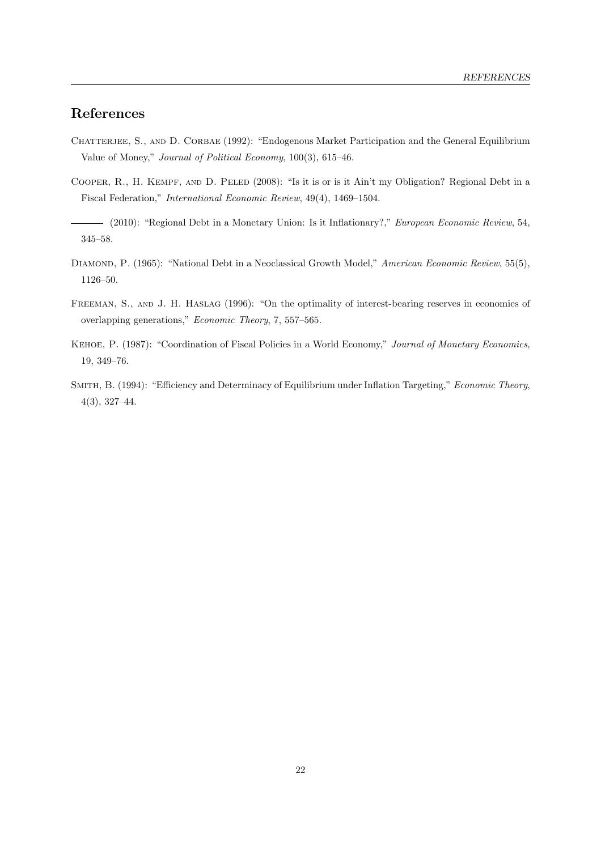# **References**

- CHATTERJEE, S., AND D. CORBAE (1992): "Endogenous Market Participation and the General Equilibrium Value of Money," Journal of Political Economy, 100(3), 615–46.
- Cooper, R., H. Kempf, and D. Peled (2008): "Is it is or is it Ain't my Obligation? Regional Debt in a Fiscal Federation," International Economic Review, 49(4), 1469–1504.
- (2010): "Regional Debt in a Monetary Union: Is it Inflationary?," European Economic Review, 54, 345–58.
- DIAMOND, P. (1965): "National Debt in a Neoclassical Growth Model," American Economic Review, 55(5), 1126–50.
- FREEMAN, S., AND J. H. HASLAG (1996): "On the optimality of interest-bearing reserves in economies of overlapping generations," Economic Theory, 7, 557–565.
- KEHOE, P. (1987): "Coordination of Fiscal Policies in a World Economy," Journal of Monetary Economics, 19, 349–76.
- Smith, B. (1994): "Efficiency and Determinacy of Equilibrium under Inflation Targeting," Economic Theory, 4(3), 327–44.